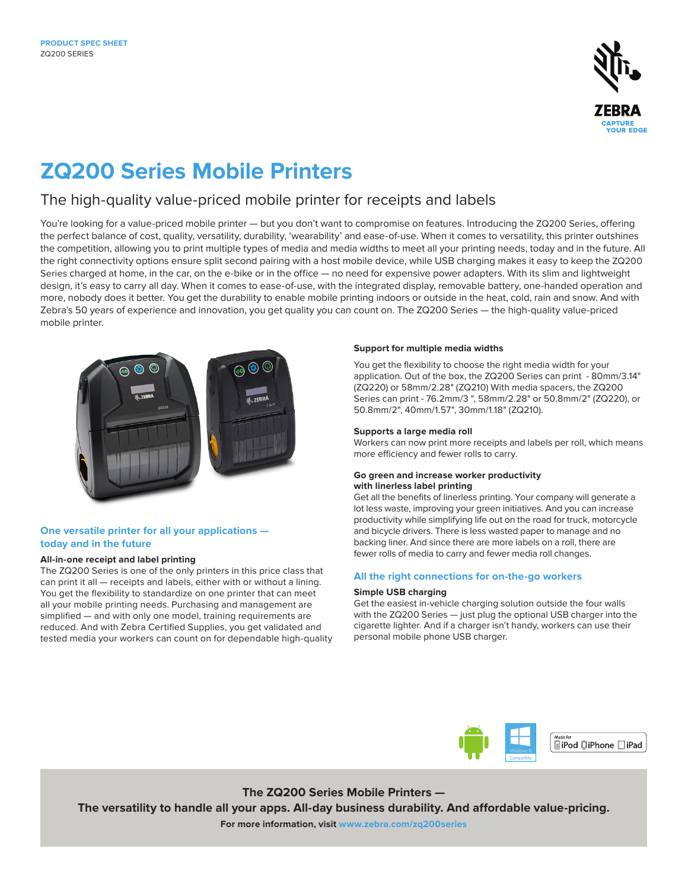

# **ZQ200 Series Mobile Printers**

## The high-quality value-priced mobile printer for receipts and labels

You're looking for a value-priced mobile printer — but you don't want to compromise on features. Introducing the ZQ200 Series, offering the perfect balance of cost, quality, versatility, durability, 'wearability' and ease-of-use. When it comes to versatility, this printer outshines the competition, allowing you to print multiple types of media and media widths to meet all your printing needs, today and in the future. All the right connectivity options ensure split second pairing with a host mobile device, while USB charging makes it easy to keep the ZQ200 Series charged at home, in the car, on the e-bike or in the office — no need for expensive power adapters. With its slim and lightweight design, it's easy to carry all day. When it comes to ease-of-use, with the integrated display, removable battery, one-handed operation and more, nobody does it better. You get the durability to enable mobile printing indoors or outside in the heat, cold, rain and snow. And with Zebra's 50 years of experience and innovation, you get quality you can count on. The ZQ200 Series — the high-quality value-priced mobile printer.



## **One versatile printer for all your applications today and in the future**

## **All-in-one receipt and label printing**

The ZQ200 Series is one of the only printers in this price class that can print it all — receipts and labels, either with or without a lining. You get the flexibility to standardize on one printer that can meet all your mobile printing needs. Purchasing and management are simplified — and with only one model, training requirements are reduced. And with Zebra Certified Supplies, you get validated and tested media your workers can count on for dependable high-quality

## **Support for multiple media widths**

You get the flexibility to choose the right media width for your application. Out of the box, the ZQ200 Series can print - 80mm/3.14" (ZQ220) or 58mm/2.28" (ZQ210) With media spacers, the ZQ200 Series can print - 76.2mm/3 ", 58mm/2.28" or 50.8mm/2" (ZQ220), or 50.8mm/2", 40mm/1.57", 30mm/1.18" (ZQ210).

## **Supports a large media roll**

Workers can now print more receipts and labels per roll, which means more efficiency and fewer rolls to carry.

## **Go green and increase worker productivity with linerless label printing**

Get all the benefits of linerless printing. Your company will generate a lot less waste, improving your green initiatives. And you can increase productivity while simplifying life out on the road for truck, motorcycle and bicycle drivers. There is less wasted paper to manage and no backing liner. And since there are more labels on a roll, there are fewer rolls of media to carry and fewer media roll changes.

## **All the right connections for on-the-go workers**

## **Simple USB charging**

Get the easiest in-vehicle charging solution outside the four walls with the ZQ200 Series — just plug the optional USB charger into the cigarette lighter. And if a charger isn't handy, workers can use their personal mobile phone USB charger.



**The ZQ200 Series Mobile Printers — The versatility to handle all your apps. All-day business durability. And affordable value-pricing.** 

**For more information, visit [www.zebra.com/](http://www.zebra.com/zq220)zq200series**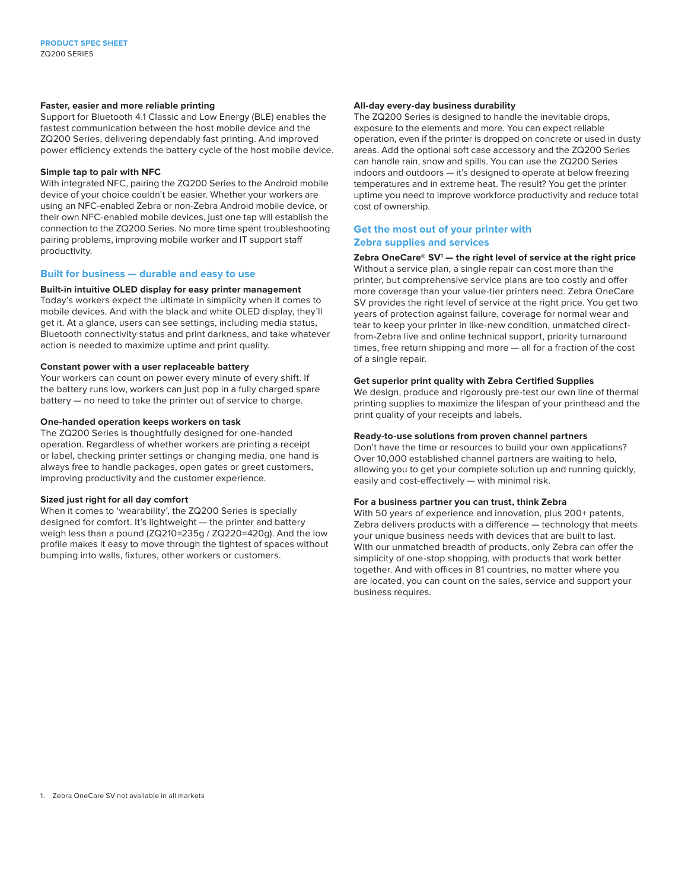## **Faster, easier and more reliable printing**

Support for Bluetooth 4.1 Classic and Low Energy (BLE) enables the fastest communication between the host mobile device and the ZQ200 Series, delivering dependably fast printing. And improved power efficiency extends the battery cycle of the host mobile device.

#### **Simple tap to pair with NFC**

With integrated NFC, pairing the ZQ200 Series to the Android mobile device of your choice couldn't be easier. Whether your workers are using an NFC-enabled Zebra or non-Zebra Android mobile device, or their own NFC-enabled mobile devices, just one tap will establish the connection to the ZQ200 Series. No more time spent troubleshooting pairing problems, improving mobile worker and IT support staff productivity.

## **Built for business — durable and easy to use**

## **Built-in intuitive OLED display for easy printer management**

Today's workers expect the ultimate in simplicity when it comes to mobile devices. And with the black and white OLED display, they'll get it. At a glance, users can see settings, including media status, Bluetooth connectivity status and print darkness, and take whatever action is needed to maximize uptime and print quality.

#### **Constant power with a user replaceable battery**

Your workers can count on power every minute of every shift. If the battery runs low, workers can just pop in a fully charged spare battery — no need to take the printer out of service to charge.

#### **One-handed operation keeps workers on task**

The ZQ200 Series is thoughtfully designed for one-handed operation. Regardless of whether workers are printing a receipt or label, checking printer settings or changing media, one hand is always free to handle packages, open gates or greet customers, improving productivity and the customer experience.

## **Sized just right for all day comfort**

When it comes to 'wearability', the ZQ200 Series is specially designed for comfort. It's lightweight — the printer and battery weigh less than a pound (ZQ210=235g / ZQ220=420g). And the low profile makes it easy to move through the tightest of spaces without bumping into walls, fixtures, other workers or customers.

## **All-day every-day business durability**

The ZQ200 Series is designed to handle the inevitable drops, exposure to the elements and more. You can expect reliable operation, even if the printer is dropped on concrete or used in dusty areas. Add the optional soft case accessory and the ZQ200 Series can handle rain, snow and spills. You can use the ZQ200 Series indoors and outdoors — it's designed to operate at below freezing temperatures and in extreme heat. The result? You get the printer uptime you need to improve workforce productivity and reduce total cost of ownership.

## **Get the most out of your printer with Zebra supplies and services**

**Zebra OneCare® SV1 — the right level of service at the right price** Without a service plan, a single repair can cost more than the printer, but comprehensive service plans are too costly and offer more coverage than your value-tier printers need. Zebra OneCare SV provides the right level of service at the right price. You get two years of protection against failure, coverage for normal wear and tear to keep your printer in like-new condition, unmatched directfrom-Zebra live and online technical support, priority turnaround times, free return shipping and more — all for a fraction of the cost of a single repair.

#### **Get superior print quality with Zebra Certified Supplies**

We design, produce and rigorously pre-test our own line of thermal printing supplies to maximize the lifespan of your printhead and the print quality of your receipts and labels.

#### **Ready-to-use solutions from proven channel partners**

Don't have the time or resources to build your own applications? Over 10,000 established channel partners are waiting to help, allowing you to get your complete solution up and running quickly, easily and cost-effectively — with minimal risk.

#### **For a business partner you can trust, think Zebra**

With 50 years of experience and innovation, plus 200+ patents, Zebra delivers products with a difference — technology that meets your unique business needs with devices that are built to last. With our unmatched breadth of products, only Zebra can offer the simplicity of one-stop shopping, with products that work better together. And with offices in 81 countries, no matter where you are located, you can count on the sales, service and support your business requires.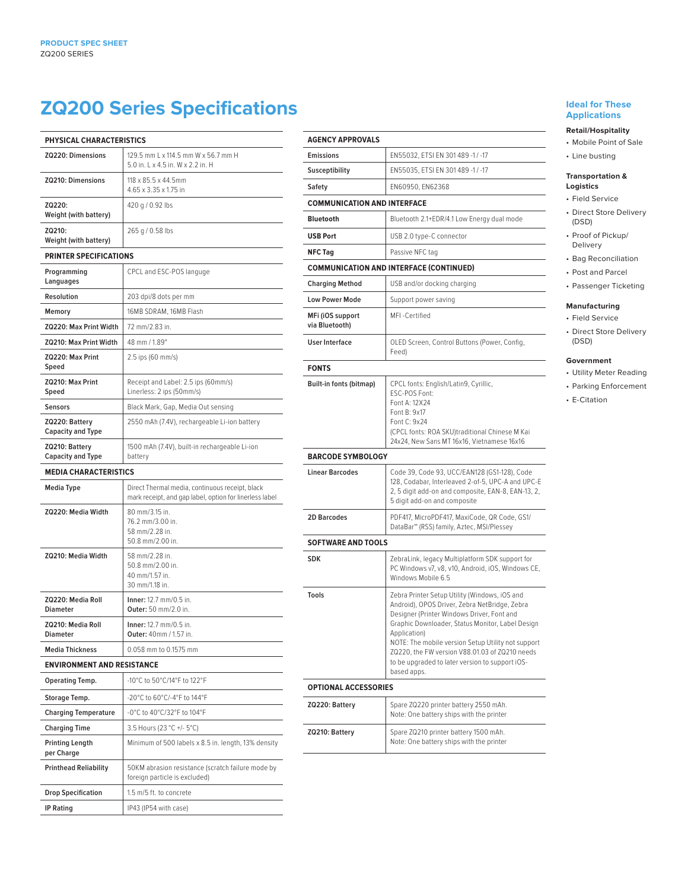## **ZQ200 Series Specifications**

| PHYSICAL CHARACTERISTICS                   |                                                                                                            |
|--------------------------------------------|------------------------------------------------------------------------------------------------------------|
| ZQ220: Dimensions                          | 129.5 mm L x 114.5 mm W x 56.7 mm H<br>5.0 in, L x 4.5 in, W x 2.2 in, H                                   |
| <b>ZQ210: Dimensions</b>                   | 118 x 85.5 x 44.5mm<br>4.65 x 3.35 x 1.75 in                                                               |
| ZQ220:<br>Weight (with battery)            | 420 g / 0.92 lbs                                                                                           |
| ZQ210:<br>Weight (with battery)            | 265 g / 0.58 lbs                                                                                           |
| <b>PRINTER SPECIFICATIONS</b>              |                                                                                                            |
| Programming<br>Languages                   | CPCL and ESC-POS languge                                                                                   |
| <b>Resolution</b>                          | 203 dpi/8 dots per mm                                                                                      |
| Memory                                     | 16MB SDRAM, 16MB Flash                                                                                     |
| ZQ220: Max Print Width                     | 72 mm/2.83 in.                                                                                             |
| ZQ210: Max Print Width                     | 48 mm / 1.89"                                                                                              |
| ZQ220: Max Print<br>Speed                  | 2.5 ips (60 mm/s)                                                                                          |
| ZQ210: Max Print<br>Speed                  | Receipt and Label: 2.5 ips (60mm/s)<br>Linerless: 2 ips (50mm/s)                                           |
| <b>Sensors</b>                             | Black Mark, Gap, Media Out sensing                                                                         |
| ZQ220: Battery<br><b>Capacity and Type</b> | 2550 mAh (7.4V), rechargeable Li-ion battery                                                               |
| ZQ210: Battery<br><b>Capacity and Type</b> | 1500 mAh (7.4V), built-in rechargeable Li-ion<br>battery                                                   |
| <b>MEDIA CHARACTERISTICS</b>               |                                                                                                            |
| Media Type                                 | Direct Thermal media, continuous receipt, black<br>mark receipt, and gap label, option for linerless label |
| ZQ220: Media Width                         | 80 mm/3.15 in.<br>76.2 mm/3.00 in.<br>58 mm/2.28 in.<br>50.8 mm/2.00 in.                                   |
| ZQ210: Media Width                         | 58 mm/2.28 in.<br>50.8 mm/2.00 in.<br>40 mm/1.57 in.<br>30 mm/1.18 in.                                     |
| ZQ220: Media Roll<br><b>Diameter</b>       | Inner: 12.7 mm/0.5 in.<br>Outer: 50 mm/2.0 in.                                                             |
| ZQ210: Media Roll<br>Diameter              | Inner: 12.7 mm/0.5 in.<br>Outer: 40mm / 1.57 in.                                                           |
| <b>Media Thickness</b>                     | 0.058 mm to 0.1575 mm                                                                                      |
| <b>ENVIRONMENT AND RESISTANCE</b>          |                                                                                                            |
| Operating Temp.                            | -10°C to 50°C/14°F to 122°F                                                                                |
| Storage Temp.                              | -20°C to 60°C/-4°F to 144°F                                                                                |
| <b>Charging Temperature</b>                | -0°C to 40°C/32°F to 104°F                                                                                 |
| Charging Time                              | 3.5 Hours (23 °C +/- 5°C)                                                                                  |
| <b>Printing Length</b><br>per Charge       | Minimum of 500 labels x 8.5 in. length, 13% density                                                        |
| <b>Printhead Reliability</b>               | 50KM abrasion resistance (scratch failure mode by<br>foreign particle is excluded)                         |
| <b>Drop Specification</b>                  | 1.5 m/5 ft. to concrete                                                                                    |
| <b>IP Rating</b>                           | IP43 (IP54 with case)                                                                                      |

| <b>AGENCY APPROVALS</b>                        |                                                                                                                                                                                                                                                                                                                                                                                            |  |
|------------------------------------------------|--------------------------------------------------------------------------------------------------------------------------------------------------------------------------------------------------------------------------------------------------------------------------------------------------------------------------------------------------------------------------------------------|--|
| <b>Emissions</b>                               | EN55032, ETSI EN 301489 -1 / -17                                                                                                                                                                                                                                                                                                                                                           |  |
| Susceptibility                                 | EN55035, ETSI EN 301 489 -1 / -17                                                                                                                                                                                                                                                                                                                                                          |  |
| Safety                                         | EN60950, EN62368                                                                                                                                                                                                                                                                                                                                                                           |  |
| <b>COMMUNICATION AND INTERFACE</b>             |                                                                                                                                                                                                                                                                                                                                                                                            |  |
| <b>Bluetooth</b>                               | Bluetooth 2.1+EDR/4.1 Low Energy dual mode                                                                                                                                                                                                                                                                                                                                                 |  |
| <b>USB Port</b>                                | USB 2.0 type-C connector                                                                                                                                                                                                                                                                                                                                                                   |  |
| <b>NFC Tag</b>                                 | Passive NFC tag                                                                                                                                                                                                                                                                                                                                                                            |  |
| <b>COMMUNICATION AND INTERFACE (CONTINUED)</b> |                                                                                                                                                                                                                                                                                                                                                                                            |  |
| <b>Charging Method</b>                         | USB and/or docking charging                                                                                                                                                                                                                                                                                                                                                                |  |
| <b>Low Power Mode</b>                          | Support power saving                                                                                                                                                                                                                                                                                                                                                                       |  |
| MFi (iOS support<br>via Bluetooth)             | MFI-Certified                                                                                                                                                                                                                                                                                                                                                                              |  |
| <b>User Interface</b>                          | OLED Screen, Control Buttons (Power, Config,<br>Feed)                                                                                                                                                                                                                                                                                                                                      |  |
| <b>FONTS</b>                                   |                                                                                                                                                                                                                                                                                                                                                                                            |  |
| Built-in fonts (bitmap)                        | CPCL fonts: English/Latin9, Cyrillic,<br>ESC-POS Font:<br>Font A: 12X24<br>Font B: 9x17<br>Font C: 9x24<br>(CPCL fonts: ROA SKU)traditional Chinese M Kai<br>24x24, New Sans MT 16x16, Vietnamese 16x16                                                                                                                                                                                    |  |
| <b>BARCODE SYMBOLOGY</b>                       |                                                                                                                                                                                                                                                                                                                                                                                            |  |
| <b>Linear Barcodes</b>                         | Code 39, Code 93, UCC/EAN128 (GS1-128), Code<br>128, Codabar, Interleaved 2-of-5, UPC-A and UPC-E<br>2, 5 digit add-on and composite, EAN-8, EAN-13, 2,<br>5 digit add-on and composite                                                                                                                                                                                                    |  |
| 2D Barcodes                                    |                                                                                                                                                                                                                                                                                                                                                                                            |  |
|                                                | PDF417, MicroPDF417, MaxiCode, QR Code, GS1/<br>DataBar™ (RSS) family, Aztec, MSI/Plessey                                                                                                                                                                                                                                                                                                  |  |
| <b>SOFTWARE AND TOOLS</b>                      |                                                                                                                                                                                                                                                                                                                                                                                            |  |
| <b>SDK</b>                                     | ZebraLink, legacy Multiplatform SDK support for<br>PC Windows v7, v8, v10, Android, iOS, Windows CE,<br>Windows Mobile 6.5                                                                                                                                                                                                                                                                 |  |
| <b>Tools</b>                                   | Zebra Printer Setup Utility (Windows, iOS and<br>Android), OPOS Driver, Zebra NetBridge, Zebra<br>Designer (Printer Windows Driver, Font and<br>Graphic Downloader, Status Monitor, Label Design<br>Application)<br>NOTE: The mobile version Setup Utility not support<br>ZQ220, the FW version V88.01.03 of ZQ210 needs<br>to be upgraded to later version to support iOS-<br>based apps. |  |
| <b>OPTIONAL ACCESSORIES</b>                    |                                                                                                                                                                                                                                                                                                                                                                                            |  |
| ZQ220: Battery                                 | Spare ZQ220 printer battery 2550 mAh.<br>Note: One battery ships with the printer                                                                                                                                                                                                                                                                                                          |  |
| ZQ210: Battery                                 | Spare ZQ210 printer battery 1500 mAh.<br>Note: One battery ships with the printer                                                                                                                                                                                                                                                                                                          |  |

## **Ideal for These Applications**

## **Retail/Hospitality**

- Mobile Point of Sale
- Line busting

#### **Transportation & Logistics**

- Field Service
- Direct Store Delivery (DSD)
- Proof of Pickup/ Delivery
- Bag Reconciliation
	- Post and Parcel
	- Passenger Ticketing

## **Manufacturing**

- Field Service
- Direct Store Delivery (DSD)

### **Government**

- Utility Meter Reading • Parking Enforcement
- E-Citation